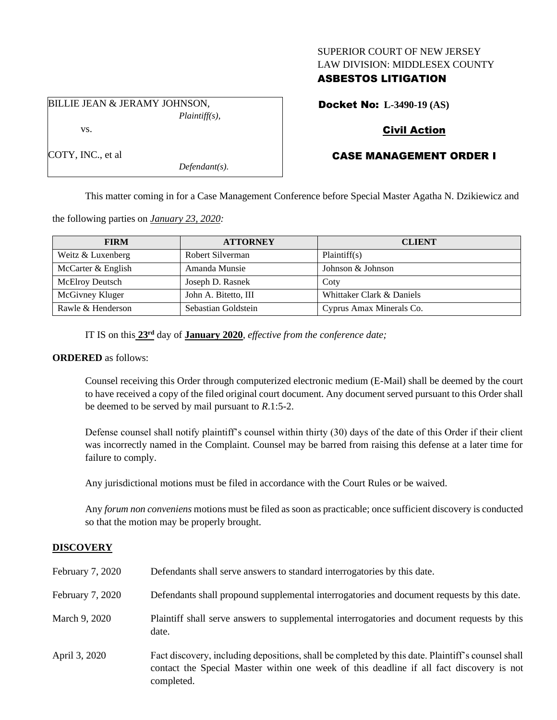### SUPERIOR COURT OF NEW JERSEY LAW DIVISION: MIDDLESEX COUNTY

## ASBESTOS LITIGATION

BILLIE JEAN & JERAMY JOHNSON, *Plaintiff(s),* vs.

Docket No: **L-3490-19 (AS)**

# Civil Action

# CASE MANAGEMENT ORDER I

This matter coming in for a Case Management Conference before Special Master Agatha N. Dzikiewicz and

the following parties on *January 23, 2020:*

| <b>FIRM</b>            | <b>ATTORNEY</b>      | <b>CLIENT</b>             |
|------------------------|----------------------|---------------------------|
| Weitz & Luxenberg      | Robert Silverman     | Plaintiff(s)              |
| McCarter & English     | Amanda Munsie        | Johnson & Johnson         |
| <b>McElroy Deutsch</b> | Joseph D. Rasnek     | Coty                      |
| McGivney Kluger        | John A. Bitetto, III | Whittaker Clark & Daniels |
| Rawle & Henderson      | Sebastian Goldstein  | Cyprus Amax Minerals Co.  |

IT IS on this **23rd** day of **January 2020**, *effective from the conference date;*

*Defendant(s).*

#### **ORDERED** as follows:

Counsel receiving this Order through computerized electronic medium (E-Mail) shall be deemed by the court to have received a copy of the filed original court document. Any document served pursuant to this Order shall be deemed to be served by mail pursuant to *R*.1:5-2.

Defense counsel shall notify plaintiff's counsel within thirty (30) days of the date of this Order if their client was incorrectly named in the Complaint. Counsel may be barred from raising this defense at a later time for failure to comply.

Any jurisdictional motions must be filed in accordance with the Court Rules or be waived.

Any *forum non conveniens* motions must be filed as soon as practicable; once sufficient discovery is conducted so that the motion may be properly brought.

# **DISCOVERY**

| February 7, 2020 | Defendants shall serve answers to standard interrogatories by this date.                                                                                                                                    |
|------------------|-------------------------------------------------------------------------------------------------------------------------------------------------------------------------------------------------------------|
| February 7, 2020 | Defendants shall propound supplemental interrogatories and document requests by this date.                                                                                                                  |
| March 9, 2020    | Plaintiff shall serve answers to supplemental interrogatories and document requests by this<br>date.                                                                                                        |
| April 3, 2020    | Fact discovery, including depositions, shall be completed by this date. Plaintiff's counsel shall<br>contact the Special Master within one week of this deadline if all fact discovery is not<br>completed. |

COTY, INC., et al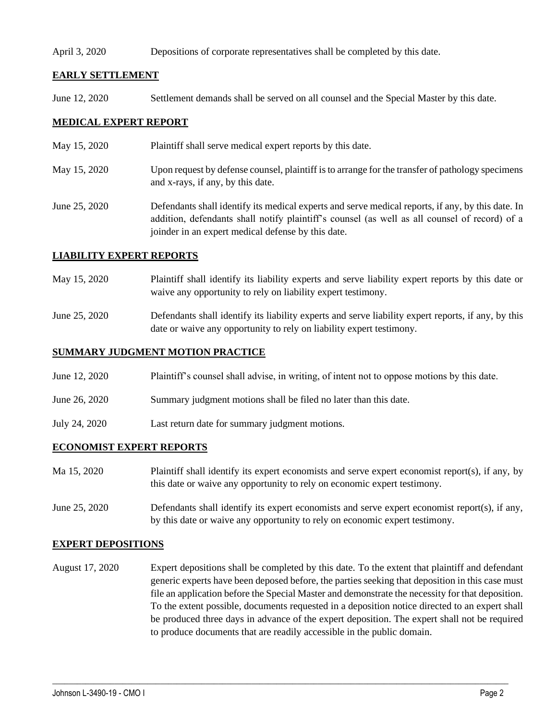#### April 3, 2020 Depositions of corporate representatives shall be completed by this date.

## **EARLY SETTLEMENT**

June 12, 2020 Settlement demands shall be served on all counsel and the Special Master by this date.

## **MEDICAL EXPERT REPORT**

- May 15, 2020 Plaintiff shall serve medical expert reports by this date.
- May 15, 2020 Upon request by defense counsel, plaintiff is to arrange for the transfer of pathology specimens and x-rays, if any, by this date.
- June 25, 2020 Defendants shall identify its medical experts and serve medical reports, if any, by this date. In addition, defendants shall notify plaintiff's counsel (as well as all counsel of record) of a joinder in an expert medical defense by this date.

### **LIABILITY EXPERT REPORTS**

- May 15, 2020 Plaintiff shall identify its liability experts and serve liability expert reports by this date or waive any opportunity to rely on liability expert testimony.
- June 25, 2020 Defendants shall identify its liability experts and serve liability expert reports, if any, by this date or waive any opportunity to rely on liability expert testimony.

## **SUMMARY JUDGMENT MOTION PRACTICE**

- June 12, 2020 Plaintiff's counsel shall advise, in writing, of intent not to oppose motions by this date.
- June 26, 2020 Summary judgment motions shall be filed no later than this date.
- July 24, 2020 Last return date for summary judgment motions.

## **ECONOMIST EXPERT REPORTS**

- Ma 15, 2020 Plaintiff shall identify its expert economists and serve expert economist report(s), if any, by this date or waive any opportunity to rely on economic expert testimony.
- June 25, 2020 Defendants shall identify its expert economists and serve expert economist report(s), if any, by this date or waive any opportunity to rely on economic expert testimony.

#### **EXPERT DEPOSITIONS**

August 17, 2020 Expert depositions shall be completed by this date. To the extent that plaintiff and defendant generic experts have been deposed before, the parties seeking that deposition in this case must file an application before the Special Master and demonstrate the necessity for that deposition. To the extent possible, documents requested in a deposition notice directed to an expert shall be produced three days in advance of the expert deposition. The expert shall not be required to produce documents that are readily accessible in the public domain.

 $\_$  , and the set of the set of the set of the set of the set of the set of the set of the set of the set of the set of the set of the set of the set of the set of the set of the set of the set of the set of the set of th